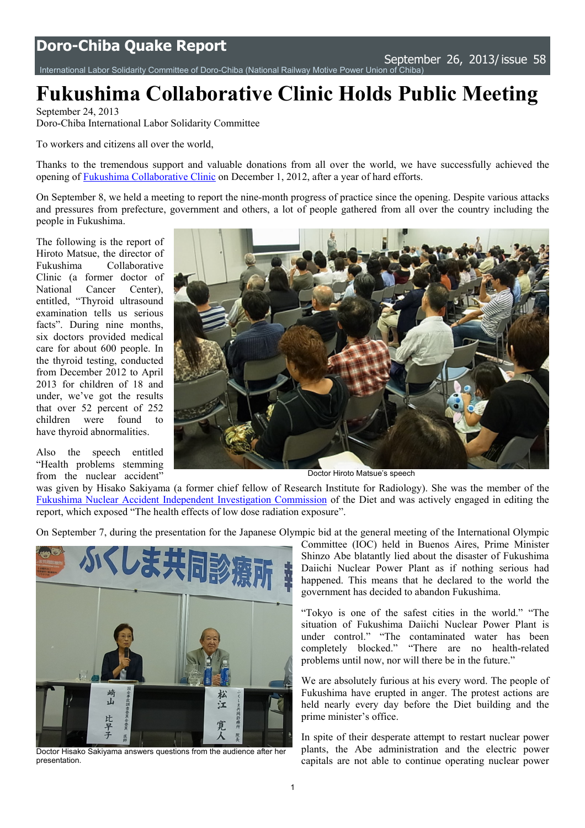International Labor Solidarity Committee of [Doro-Chiba](http://www.doro-chiba.org/english/english.htm) (National Railway [Motive Power Union of Chiba](http://www.doro-chiba.org/english/english.htm))

## **Fukushima Collaborative Clinic Holds Public Meeting**

September 24, 2013 Doro-Chiba International Labor Solidarity Committee

To workers and citizens all over the world,

Thanks to the tremendous support and valuable donations from all over the world, we have successfully achieved the opening of [Fukushima Collaborative Clinic](http://www.fukushimacollaborativeclinic.jp/) on December 1, 2012, after a year of hard efforts.

On September 8, we held a meeting to report the nine-month progress of practice since the opening. Despite various attacks and pressures from prefecture, government and others, a lot of people gathered from all over the country including the people in Fukushima.

The following is the report of Hiroto Matsue, the director of Fukushima Collaborative Clinic (a former doctor of National Cancer Center), entitled, "Thyroid ultrasound examination tells us serious facts". During nine months, six doctors provided medical care for about 600 people. In the thyroid testing, conducted from December 2012 to April 2013 for children of 18 and under, we've got the results that over 52 percent of 252 children were found to have thyroid abnormalities.

Also the speech entitled "Health problems stemming from the nuclear accident"



Doctor Hiroto Matsue's speech

was given by Hisako Sakiyama (a former chief fellow of Research Institute for Radiology). She was the member of the [Fukushima Nuclear Accident Independent Investigation Commission](http://www.nirs.org/fukushima/naiic_report.pdf) of the Diet and was actively engaged in editing the report, which exposed "The health effects of low dose radiation exposure".

On September 7, during the presentation for the Japanese Olympic bid at the general meeting of the International Olympic



Doctor Hisako Sakiyama answers questions from the audience after her presentation.

Committee (IOC) held in Buenos Aires, Prime Minister Shinzo Abe blatantly lied about the disaster of Fukushima Daiichi Nuclear Power Plant as if nothing serious had happened. This means that he declared to the world the government has decided to abandon Fukushima.

"Tokyo is one of the safest cities in the world." "The situation of Fukushima Daiichi Nuclear Power Plant is under control." "The contaminated water has been completely blocked." "There are no health-related problems until now, nor will there be in the future."

We are absolutely furious at his every word. The people of Fukushima have erupted in anger. The protest actions are held nearly every day before the Diet building and the prime minister's office.

In spite of their desperate attempt to restart nuclear power plants, the Abe administration and the electric power capitals are not able to continue operating nuclear power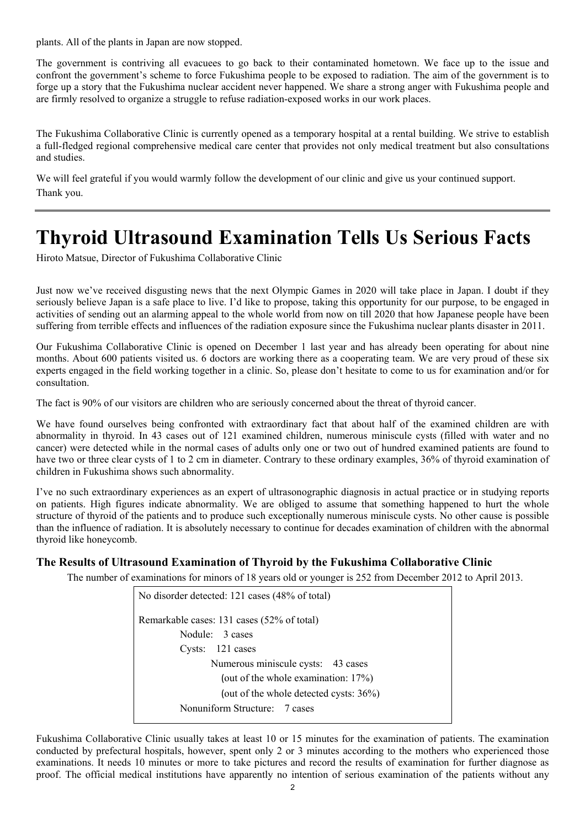plants. All of the plants in Japan are now stopped.

The government is contriving all evacuees to go back to their contaminated hometown. We face up to the issue and confront the government's scheme to force Fukushima people to be exposed to radiation. The aim of the government is to forge up a story that the Fukushima nuclear accident never happened. We share a strong anger with Fukushima people and are firmly resolved to organize a struggle to refuse radiation-exposed works in our work places.

The Fukushima Collaborative Clinic is currently opened as a temporary hospital at a rental building. We strive to establish a full-fledged regional comprehensive medical care center that provides not only medical treatment but also consultations and studies.

We will feel grateful if you would warmly follow the development of our clinic and give us your continued support. Thank you.

## **Thyroid Ultrasound Examination Tells Us Serious Facts**

Hiroto Matsue, Director of Fukushima Collaborative Clinic

Just now we've received disgusting news that the next Olympic Games in 2020 will take place in Japan. I doubt if they seriously believe Japan is a safe place to live. I'd like to propose, taking this opportunity for our purpose, to be engaged in activities of sending out an alarming appeal to the whole world from now on till 2020 that how Japanese people have been suffering from terrible effects and influences of the radiation exposure since the Fukushima nuclear plants disaster in 2011.

Our Fukushima Collaborative Clinic is opened on December 1 last year and has already been operating for about nine months. About 600 patients visited us. 6 doctors are working there as a cooperating team. We are very proud of these six experts engaged in the field working together in a clinic. So, please don't hesitate to come to us for examination and/or for consultation.

The fact is 90% of our visitors are children who are seriously concerned about the threat of thyroid cancer.

We have found ourselves being confronted with extraordinary fact that about half of the examined children are with abnormality in thyroid. In 43 cases out of 121 examined children, numerous miniscule cysts (filled with water and no cancer) were detected while in the normal cases of adults only one or two out of hundred examined patients are found to have two or three clear cysts of 1 to 2 cm in diameter. Contrary to these ordinary examples, 36% of thyroid examination of children in Fukushima shows such abnormality.

I've no such extraordinary experiences as an expert of ultrasonographic diagnosis in actual practice or in studying reports on patients. High figures indicate abnormality. We are obliged to assume that something happened to hurt the whole structure of thyroid of the patients and to produce such exceptionally numerous miniscule cysts. No other cause is possible than the influence of radiation. It is absolutely necessary to continue for decades examination of children with the abnormal thyroid like honeycomb.

## **The Results of Ultrasound Examination of Thyroid by the Fukushima Collaborative Clinic**

The number of examinations for minors of 18 years old or younger is 252 from December 2012 to April 2013.

No disorder detected: 121 cases (48% of total) Remarkable cases: 131 cases (52% of total) Nodule: 3 cases Cysts: 121 cases Numerous miniscule cysts: 43 cases (out of the whole examination: 17%) (out of the whole detected cysts: 36%) Nonuniform Structure: 7 cases

Fukushima Collaborative Clinic usually takes at least 10 or 15 minutes for the examination of patients. The examination conducted by prefectural hospitals, however, spent only 2 or 3 minutes according to the mothers who experienced those examinations. It needs 10 minutes or more to take pictures and record the results of examination for further diagnose as proof. The official medical institutions have apparently no intention of serious examination of the patients without any